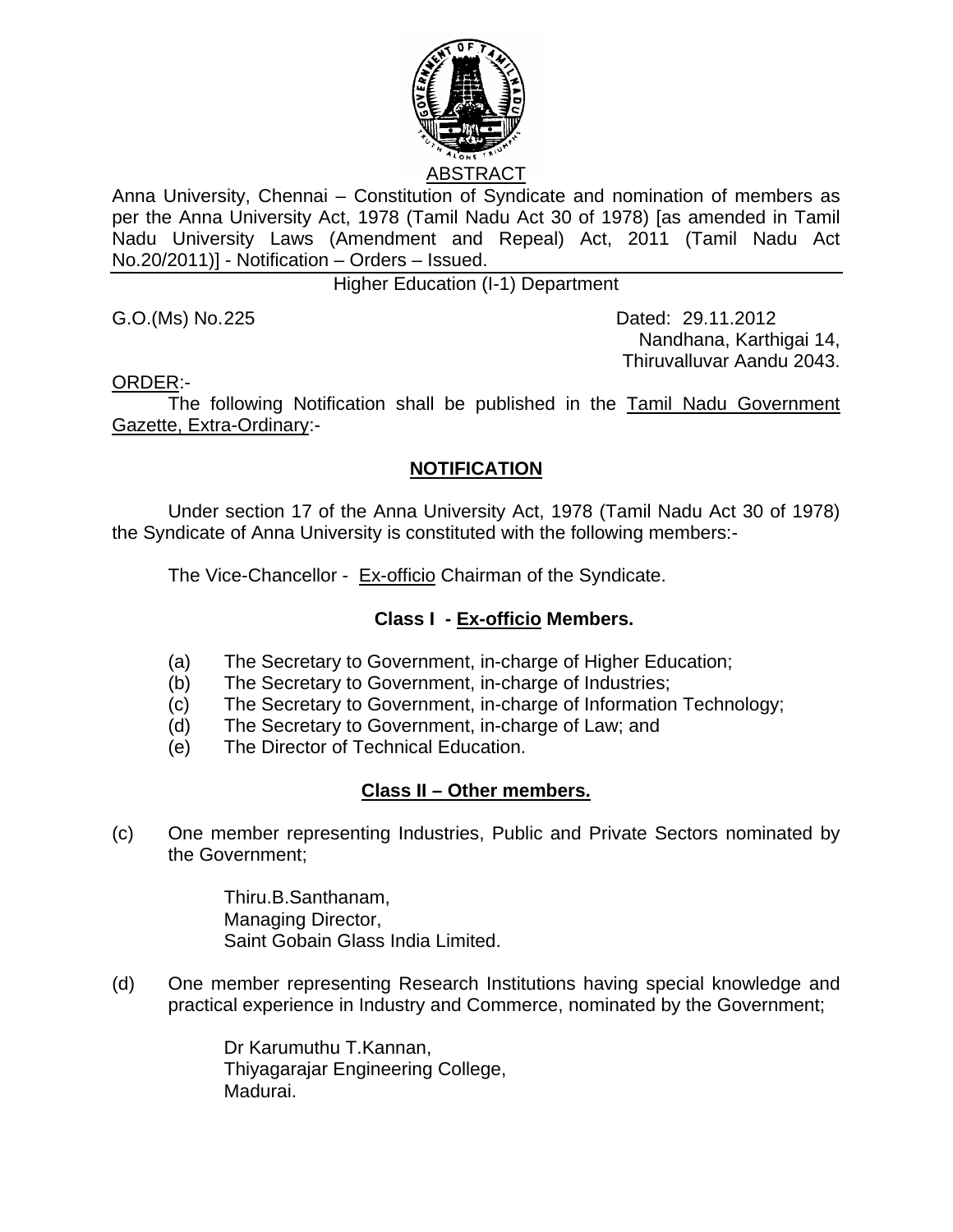

Anna University, Chennai – Constitution of Syndicate and nomination of members as per the Anna University Act, 1978 (Tamil Nadu Act 30 of 1978) [as amended in Tamil Nadu University Laws (Amendment and Repeal) Act, 2011 (Tamil Nadu Act No.20/2011)] - Notification – Orders – Issued.

Higher Education (I-1) Department

G.O.(Ms) No.225 Dated: 29.11.2012 Nandhana, Karthigai 14, Thiruvalluvar Aandu 2043.

ORDER:-

 The following Notification shall be published in the Tamil Nadu Government Gazette, Extra-Ordinary:-

## **NOTIFICATION**

Under section 17 of the Anna University Act, 1978 (Tamil Nadu Act 30 of 1978) the Syndicate of Anna University is constituted with the following members:-

The Vice-Chancellor - Ex-officio Chairman of the Syndicate.

## **Class I - Ex-officio Members.**

- (a) The Secretary to Government, in-charge of Higher Education;
- (b) The Secretary to Government, in-charge of Industries;
- (c) The Secretary to Government, in-charge of Information Technology;
- (d) The Secretary to Government, in-charge of Law; and
- (e) The Director of Technical Education.

## **Class II – Other members.**

(c) One member representing Industries, Public and Private Sectors nominated by the Government;

> Thiru.B.Santhanam, Managing Director, Saint Gobain Glass India Limited.

(d) One member representing Research Institutions having special knowledge and practical experience in Industry and Commerce, nominated by the Government;

> Dr Karumuthu T.Kannan, Thiyagarajar Engineering College, Madurai.